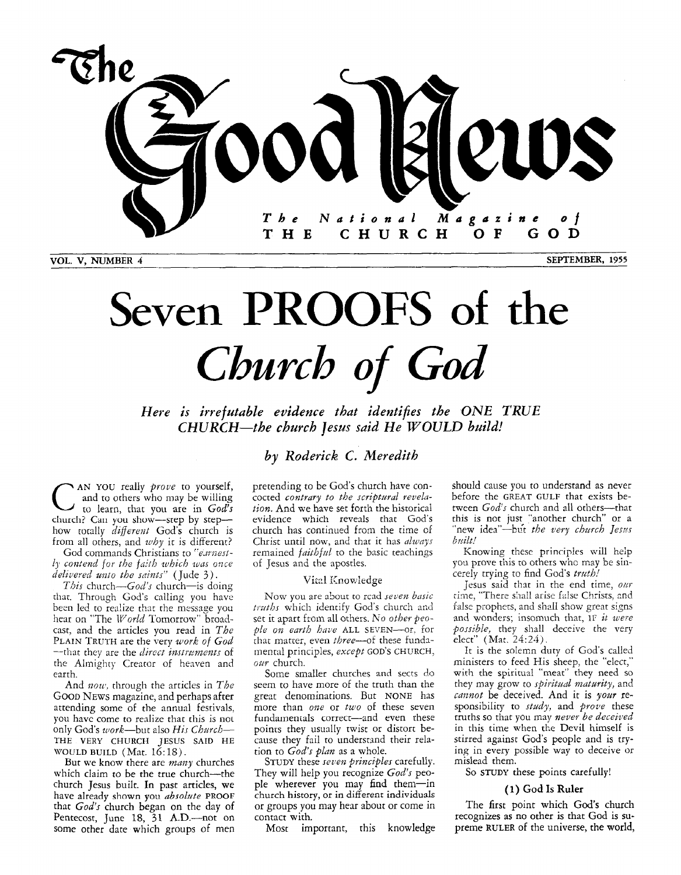

# **Seven** PROOFS **of the**  *Church of God*

*Here is irrefutable evidence that identifies the ONE TRUE CHURCH--the church Jesus said He WOULD build!* 

### *by Roderick C. Meredith*

C **AN** YOU really *proue* to yourself, to learn, that you are in *God's*  and to others who may be willing church? Can you show-step by stephow totally *dzffereizt* Gods church is from all others, and *why* it is different?

God commands Christians to "earnest*ly contend for the faith which was once delivered unto the saints"* (Jude 3).

*This* church—*God's* church—is doing that. Through God's calling you have been led to realize that the message you hear on "The *World* Tomorrow" broadcast, and the articles you read in *The*  PLAIN TRUTH are the very *work of God* -that they are the *direct instruments* of the Almighty Creator of henven and earth.

And *now*, through the articles in *The* GOOD NEWS magazine, and perhaps after attending some of the annual festivals, you have come to realize that this is not only God's work-but also His Church-THE VERY CHURCH JESUS SAID HE<br>WOULD BUILD (Mat. 16:18).

But we know there are *many* churches which claim to be the true church--the church Jesus built. In past articles, **we**  have already **shown you** *absohte* **PROOF**  that *God's* church began on the day of Pentecost, June 18, 31 A.D.--not on some other date which groups of men

pretending to be God's church have concocted contrary to the scriptural revela*tion.* And **we** have set forth the historical evidence which reveals that God's church has continued from the time of Christ until now, and that it has *always* remained *faithful* to the basic teachings of Jesus and the apostles.

### Vitzl Knowledge

Now you are about to rcad seven basic truths which identify God's church and *set* it apart from all others. *No other people on enrth hoe* ALL SEVEN-0:. for that matter, even *three*-of these fundamental principles, *except* GOD'S CHURCH, *our* church.

Some smaller churches and sects do seem to have more of the truth than the great denominations. But NONE has more than *one* or *two* of these seven fundamentals correct-and even these poinis they usunlly twist or distort because they fail to understand their relation to *God's plan* as a whole.

STUDY these *seven principles* carefully. They will help you recognize *God's* people wherever you may find them-in church history, or in different individuals or groups you may hear about or come in contact with.

Most important, this knowledge

should cause you to understand as never before the GREAT GULF that exists between  $God's$  church and all others---th this is not just "another church" or a "new idea"-but *the very church Jesus built!* 

Knowing these principles will help you prove this to others who may be sincerely trying to find God's *trath!* 

Jesus said that in the end time, *OW*  ime, "There shall arise false Christs, and time, "There shall arise false Christs, and false prophets, and shall show great signs and wonders; insomuch that, IF *it were possible,* they shall deceive the very elect" (Mat. 24:24).

It is the solemn duty of God's called ministers to feed His sheep, the "elect," with the spiritual "meat" they need so they may grow to *spiritad maturity,* and cannot be deceived. And it is your responsibility to *study,* and *prove* these truths so that you may *never be deceived*  in this time when the Devil himself is stirred against God's people and is trying in every possible way to deceive or mislead them.

So STUDY these points carefully!

### *(1)* God Is **Ruler**

The first point which God's church recognizes as no other is that God is **su**preme **RULER** of the universe, the world,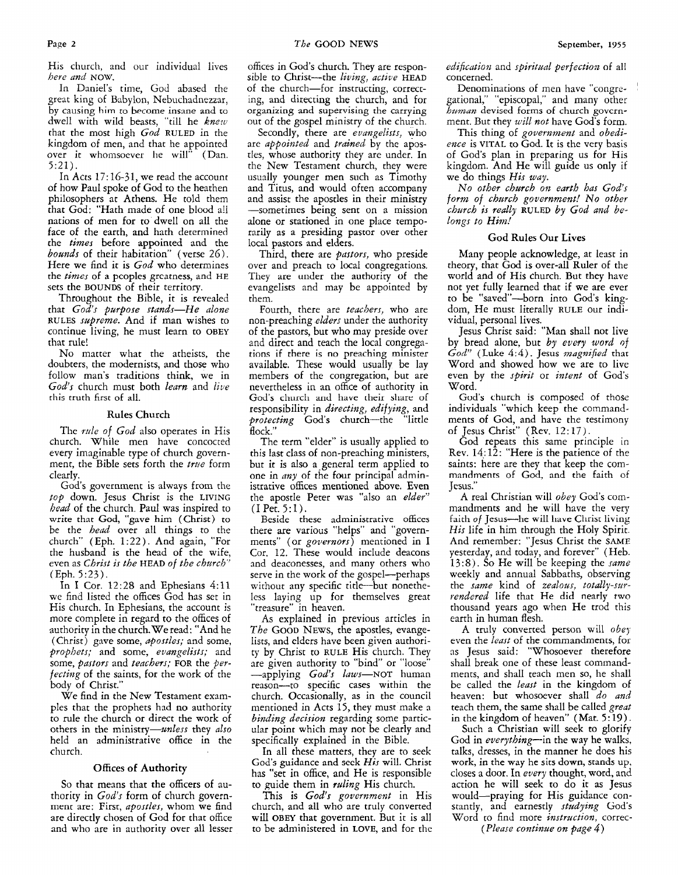His church, and our individual lives *here and* NOW,

In Daniel's time, God abased the great king of Babylon, Nebuchadnezzar, by causing him to become insane and to dwell with wild beasts, "till he *knew*  that the most high *God* **RULED** in the kingdom of men, and that he appointed over it whomsoever he will" (Dan. 5:21).

In Acts **17:16-31,** we read the account of how Paul spoke of God to the heathen philosophers at Athens. He told them that God: "Hath made of one blood all nations of men for to dwell on all the face of the earth, and hath determined the *times* before appointed and the *bounds* of their habitation" (verse 26). Here we find it is *God* who determines the *times* of a pcoplcs grcatness, and HE sets the **BOUNDS** of their territory.

Throughout the Bible, it is revealed that *God's purpose stands-He alone*  **RULES** *szdpreme.* And if man wishes to continue living, he must learn to **OBEY**  that rule!

No matter what the atheists, the doubters, the modernists, and those who follow man's traditions think, we in *God's* church must both *learn* and *live*  this truth first of all.

### Rules Church

The *ride* of *God* also operates in His church. While men have concocted every imaginable type of church government, the Bible sets forth the *twe* form clearly.

God's government is always from the *top* down. Jesus Christ is the **LIVING**  *head* of the church. Paul was inspired to write that God, "gave him (Christ) to be the *head* over all things to the church" (Eph. 1:22). And again, "For the husband is the head of the wife, even as *Christ is the* **HEAD** of *the church"*  (Eph. *5:23).* 

In I Cor. 12:28 and Ephesians 4:11 we find listed the offices God has set in His church. In Ephesians, the account is more complete in regard to the offices of authority in the church. We read: "And he (Christ) gnve some, *apostles;* and some, *prophets;* and some, *evangelists;* and some, *pastors* and *teachers;* **FOR** the *perfecting* of the saints, for the work of the body of Christ.'

We find in the New Testament examples that the prophets had no authority to rule the church or direct the work of others in the ministry-unless they *also*  held an administrative office in the church.

### Offices **of Authority**

So that means that the officers of authority in *God's* form of church government are: First, *aposdes,* whom we find are directly chosen of God for that office and who are in authority over all lesser

offices in God's church. They are responsible to Christ-the *living*, *active* **HEAD** of the church-for instructing, correcting, and directing the church, and for organizing and supervising the carrying out of the gospel ministry of the church.

Secondly, there are *evangelists,* who are *appointed* and *trained* by the apostles, whose authority they are under. In the New Testament church, they were usually younger men such as Timothy and Titus, and would often accompany and assist the apostles in their ministry -sometimes being sent on **a** mission alone or stationed in one place temporarily as a presiding pastor over other local pastors and elders.

Third, there are *pastors,* who preside over and preach to local congregations. They are under the authority of the evangelists and may be appointed by them.

Fourth, there are *teachers,* who are non-preaching *elders* under the authority of the pastors, but who may preside over and direct and teach the local congregations if there is no preaching minister available. These would usually be lay members of the congregation, but are nevertheless in an office of authority in God's church and have their share of responsibility in *directing, edifying,* and *protecting* God's church-the "little flock."

The term "elder" is usually applied to this last class of non-preaching ministers, but it is also a general term applied to one in *my* of the four principal administrative offices mentioned above. Even the apostle Peter was "also an *elder"*  (I Pet. **5:l).** 

Beside these administrative offices there are various "helps" and "governments" (or *governors)* mentioned in I Cor. 12. These would include deacons and deaconesses, and many others who serve in the work of the gospel-perhaps without any specific title-but nonetheless laying up for themselves great "treasure" in heaven.

As explained in previous articles in *The* GOOD NEWS, the apostles, evangelists, and elders have bcen given authority by Christ to **RULE** His church. They are given authority to "bind" or "loose" -applying *God's kaws-NOT* human reason-to specific cases within the church. Occasionally, as in the council mentioned in Acts **15,** they must make a *binding decision* regarding some particular point which may not be clearly and specifically explained in the Bible.

In all these matters, they are to seek God's guidance and seek *His* will. Christ has "set in office, and He is responsible to guide them in *ruling* His church.

This is *God's government* in His church, and all who are truly converted will **OBEY** that government. But it is all to be administered in **LOVE,** and for the *edification* and *seiritual perfection* of all concerned.

Denominations of men have "congregational," "episcopal," and many other *human* devised forms of church govcrnment. But they *will not* have God's form.

This thing of *government* and *obedience* is **VITAL** to God. It is the very basis of Gods plan in preparing us for His kingdom. And He will guide us only if we do things *His way.* 

*No other church on earth has Gods form of charch government! No other church is really* **RULED** *by God and belongs to Him!* 

### God Rules **Our** Lives

Many people acknowledge, at least in theory, that God is over-all Ruler of the world and of His church. But they have not yet fully learned that if we are ever to be "saved"-born into *God's* kingdom, He must literally **RULE** our individual, personal lives.

Jesus Christ said: **"Man** shall not live by bread alone, but *by every word* of *God"* (Luke *4:4).* Jesus *magni/kd* that Word and showed how we are to live even by the *spirit* or *intent* of God's Word.

God's church is composed of those individuals "which keep the commandments of God, and have the testimony<br>of Jesus Christ" (Rev. 12:17).

God repeats this same principle in Rev. 14:12: "Here is the patience of the saints: here are they that keep the commandments of God, and the faith of Jesus."

A real Christian will *obey* God's commandments and he will have the very faith of **Jesus--he will have Christ living** *His* life in him through the Holy Spirit. And remember: "Jesus Christ the SAME yesterday, and today, and forever" (Heb. **13:** 8 j. **So** He will be keeping the *same*  weekly and annual Sabbaths, observing the *same* kind of *zealous, totally-surrendered* life that He did nearly two thousand years ago when He trod this earth in human flesh.

A truly converted person will *obey*  even the *least* of the commandments, for as Jesus said: "Whosoever therefore shall break one of these least commandments, and shall teach men SO, he shall be called the *least* in the kingdom of heaven: but whosoever shall *do and*  teach them, the same shall be called *great*  in the kingdom of heaven" (Mar. *5:* 19).

Such a Christian will seek to glorify God in *everything-in* the way he walks, talks, dresses, in the manner he does his work, in the **way** he sits down, stands up, closes a door. In *every* thought, word, and action he will seek to do it **as** Jesus would-praying for His guidance constantly, and earnestly *studying* God's Word to find more *instruction*, correc-

*(Please continue on pqe 4)*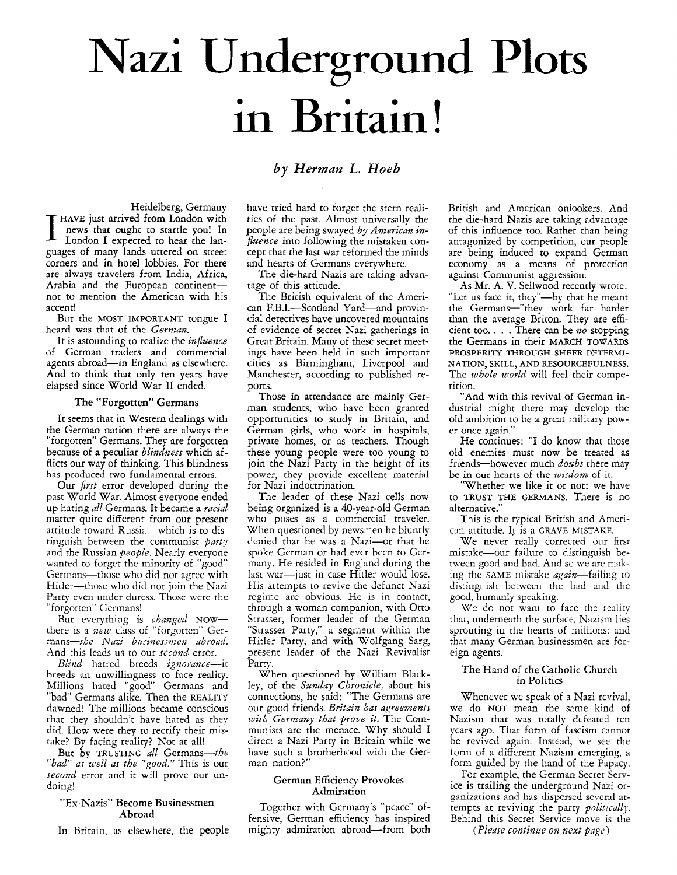## Nazi Undereround **Plots in** Britain!

### *by Herman L. Hoeh*

Heidelberg, Germany **HAVE** just arrived **from** London with London I expected to hear the Ianguages of many lands uttered on street corners and in hotel lobbies. For there are always travelers from India, Africa, Arabia and the European continentnot to mention the American with his accent!

But the **MOST IMPORTANT** tongue I heard was that of the German.

It is astounding to realize the *influence* of German traders and commercial agents abroad-in England as elsewhere. And to think that only ten years have elapsed since World War I1 ended.

### The "Forgotten" **Germans**

It seems that in Western dealings with the German nation there are always the "forgotten" Germans. They are forgotten because of a peculiar *blindness* which afflicts our way of thinking. This blindness has produced two fundamental errors.

Our *first* error developed during the past World War. Almost everyone ended up hating all Germans. It became a *racial* matter quite different from our present attitude toward Russia-which is to distinguish between the communist  $party$ and the Russian people. Nearly everyone wanted to forget the minority of "good' Germans-those who did not agree with Hitler-those who did not join the Nazi Party even under duress. Those were the "forgotten" Germans!

But everything is *changed* NOWthere is a *uew* class of "forgotten" Germans-the Nazi businessmen abroad. And this leads us to our *second* error.

Blind hatred breeds ignorance-it breeds an unwillingness *to* face reality. Millions hated "good" Germans and "bad' Germans alike. Then the **REALITY**  dawned! The millions became conscious that they shouldn't have hared as they did. How were they to rectify their mistake? By facing reality? Not at all!

But by TRUSTING all Germans-th "bad" as well as the "good." This is our *second* error and it will prove our undoing!

### "Ex-Nazis" Become Businessmen Abroad

In Britain, as elsewhere, the people

have tried hard to forget the stern realities of the past. Almost universally the people are being swayed *by* American *influence* into following the mistaken concept that the last war reformed the minds and hearts of Germans everywhere.

The die-hard Nazis are taking advantage of this attitude.

The British equivalent of the American F.B.I.-Scotland Yard-and provincial detectives have uncovered mountains of evidence of secret Nazi gatherings in Great Britain. Many of these secret meetings have been held in **such** important cities as Birmingham, Liverpool and Manchester, according to published reports.

Those in attendance are mainly German students, who have been granted opportunities to study in Britain, and German girls, who work in hospitals, private homes, or as teachers. Though these young people were too young to join the Nazi Party in the height of its power, they provide excellent materid for Nazi indoctrination.

The leader of these Nazi cells now being organized is a 40-year-old German who poses as a commercial traveler. When questioned by newsmen he bluntly denied that he was a Nazi-or that he spoke German or had ever been to Germany. He resided in England during the last war-just in case Hitler would lose. His attempts to revive the defunct Nazi rcgimc arc obvious. Hc is in contact, through a woman companion, with Otto Strasser, former leader of the German "Strasser Party," a segment within the Hitler Party, and with Wolfgang Sarg, present leader of the Nazi Revivalist Party.

When questioned by William Blackley, of the *Sunday Chronicle*, about his connections, he said: "The Germans are our good friends. Britain bas agreements *with Germany that prove it. The Com*inunists are the menace. Why should I direct a Nazi Party in Britain while we have such a brotherhood with the German nation?"

### German Efficiency Provokes Admiration

Together with Germany's "peace" offensive, German efficiency has inspired mighty admiration abroad-from both British and American onlookers. And the die-hard Nazis are taking advantage of this influence too. Rather than being antagonized by competition, our people are being induced to expand German economy as a means of protection against Communist aggression.

As **Mr.** A. V. Sellwood recently wrote: "Let us face it, they"—by that he meant the Germans—"they work far harder than the average Briton. They are efficient too. . . . There can be *no* stopping the Germans in their **MARCH TOWARDS PROSPERITY THROUGH SHEER DETERMI-NATION, SKILL, AND RESOURCEFULNESS.**  The *whole world* will feel their competition.

"And with this revival of German industrial might there may develop the old ambition to be a great military power once again."

He continues: "I do know that those old enemies must now be treated as friends-however much *doubt* there may be in **our** hearts of the *wisdom* of it.

"Whether we like it or not: we have to **TRUST THE GERMANS.** There is no alternative."

This is the typical British and American attitude. 11 is a **GRAVE MISTAKE.** 

We never really corrected our first mistake-our failure to distinguish between good and bad. And so we are making the SAME mistake *again*—failing to distinguish between the bad and the good, humanly speaking.

We do not want to face the reality that, underneath the surface, Nazism lies sprouting in the hearts of millions: and that many German businessmen are foreign agents.

### The Hand of the Catholic Church in Politics

Whenever we speak of a Nazi revival, we do NOT mean the same kind of Nazism that was totally defeated ten years ago. That form of fascism cannot be revived again. Instead, we see the form of a different Nazism emerging, **a**  form guided by the hand of the Papacy.

For example, the German Secret Service is trailing the underground Nazi organizations and has dispersed several attempts at reviving the party *politically.*  Behind this Secret Service move is the

(Please *continue on next pnge)*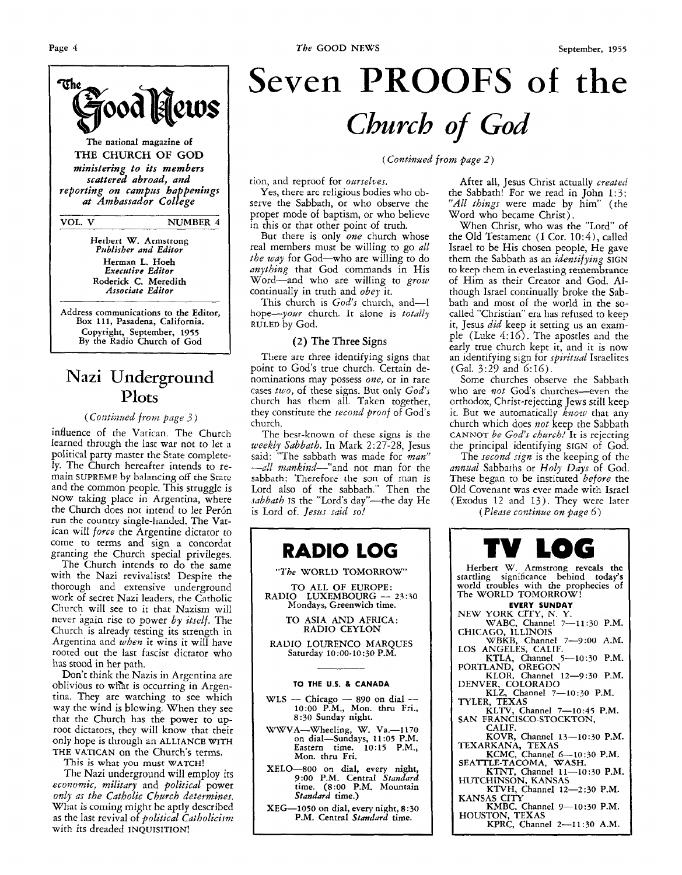

**The national magazine of THE CHURCH OF GOD**  *ministering to its members scattered abroad, and reporting on campus happenings at Ambassador College* 

**VOL. V NUMBER 4** 

**Herbert W. Armstrong**  *Pnblisher and Editor*  **Herman L. Hoeh**  *Executive Editor*  **Roderick C. Meredith**  *Associate Editor* 

**Address communications to the Editor, Box 11 1, Pasadena, California. Copyright, September, 1955 By the Radio Church of God** 

### Nazi Underground **Plots**

### *(Couti;zued from page 3)*

influence of the Vatican. The Church learned through the last war not to let a political party master the State completely. The Church hereafter intends to remain **SUPREME** by balancing off the State and the common people. This struggle is NOW taking place in Argentina, where the Church does not intend to let Perón run the country single-handed. The Vatican will *force* the Argentine dictator to come to terms and sign a concordat granting the Church special privileges.

The Church intends to do the same with the Nazi revivalists! Despite the thorough and extensive underground work of secret Nazi leaders, the Catholic Church will see to it that Nazism will never again rise to power *by itself.* The Church is already testing its strength in Argentina and *when* it wins it will have rooted out the last fascist dictator who has stood in her path.

Don't think the Nazis in Argentina are oblivious to what is occurring in Argentina. They are watching to see which way the wind is blowing. When they see that the Church has the power to **up**root dictators, they will know that their only hope is through an **ALLIANCE WITH**  THE **VATICAN** on the Church's terms.

This **is** what you must **WATCH!** 

The Nazi underground will employ its *economic, military* and *political* power *only us the Catholic Church determines.*  What **is** coming might be aptly described as the last revival of *PoLitical Cutholicism*  with its dreaded **INQUISITION!** 

## **Seven PROOFS of the**  *Church of God*

*(Continaed from page 2)* 

tion, and reproof for *omselves.* 

Yes, there arc religious bodies who observe the Sabbath, or who observe the proper mode of baptism, or who believe in this or that other point of truth.

But there is only *one* church whose real members must be willing to go *all the way* for God-who are willing to do *nnything* that God commands in His Word-and who are willing to *grow*  continually in truth and *obey* it.

This church is God's church, and-I hope-your church. It alone is *totally* **RULED** by God.

### **(2)** The Three **Signs**

There are three identifying signs that point to God's true church. Certain denominations may possess *one,* or in rare cases *two,* of these signs. But only *God's*  church has them all. Taken together, they constitute the *second proof* of God's church.

The best-known of these signs is the *weekly Sabbuth.* In Mark 2:27-28, Jesus said: "The sabbath **was** made for *man"*  -*all mankind*-"and not man for the sabbath: Therefore the son of man is Lord also of the sabbath." Then the sabbath **IS** the "Lord's day"-the day He is Lord of. *Jesus said* so!



After all, Jesus Christ actually *created* the Sabbath! For we read in John **1** : *3: "All things* were made by him" (the Word who became Christ).

When Christ, who was the "Lord" of the Old Testament (I Cor. *10:4),* called Israel to be His chosen people, He gave them the Sabbath as an *identifying* **SIGN**  to keep them in everlasting remembrance of Him as their Creator and God. Although Israel continually broke the Sabbath and most of the world in the socalled "Christian" **era has** refused to keep it, Jesus *did* keep it setting us an example (Luke 4:16). The apostles and the early true church kept it, and it is now an identifying sign for *spiritual* Israelites (Gal. *3:29* and 6:16).

Some churches observe the Sabbath who are *not* God's churches-even the orthodox, Christ-rejecting Jews still keep it. But we automatically  $\vec{k}nou$  that any church which does *not* keep the Sabbath CANNOT *be God's church!* It is rejecting the principal identifying SIGN of God.

The *second sign* is the keeping of the *nizizual* Sabbaths or *Holy Days* of God. These began to be instituted *before* the Old Covenant was ever made with Israel (Exodus 12 and 13). They were later *(Please continue on page 6)* 

**TV LOG Herbert W. Armstrong reveals the startling significance behind today's world troubles with the prophecies of The WORLD TOMORROW! NEW YORK CITY, N. Y. WABC. Channel 7-1 1** : 30 **P.M. EVERY SUNDAY CHICAGO, ILLINOIS WBKB, Channel** *7-9:OO* **A.M. KTLA. Channel 5-10:30 P.M. PORTLAND; OREGON KLOR, Channel 12-9:30 P.M. LOS ANGELES, CALIF. KLZ, Channel 7-10:30 P.M. DENVER, COLORADO KLTV, Channel 7-10:45 P.M. CALIF.**  KOVR, Channel 13-10:30 P.M.<br>TEXARKANA, TEXAS **TYLER, TEXAS SAN FRANCISCO-STOCKTON, KCMC, Channel (-10:30 P.M.**  KTNT, **Channel 11-10:30 P.M. SEATTLE-TACOMA, WASH.**  KTVH, Channel 12-2:30 P.M. **KMBC, Channel 9-10:30 P.M. KPRC, Channel 2-11:30 A.M. HUTCHINSON. KANSAS KANSAS CITY HOUSTON, TEXAS**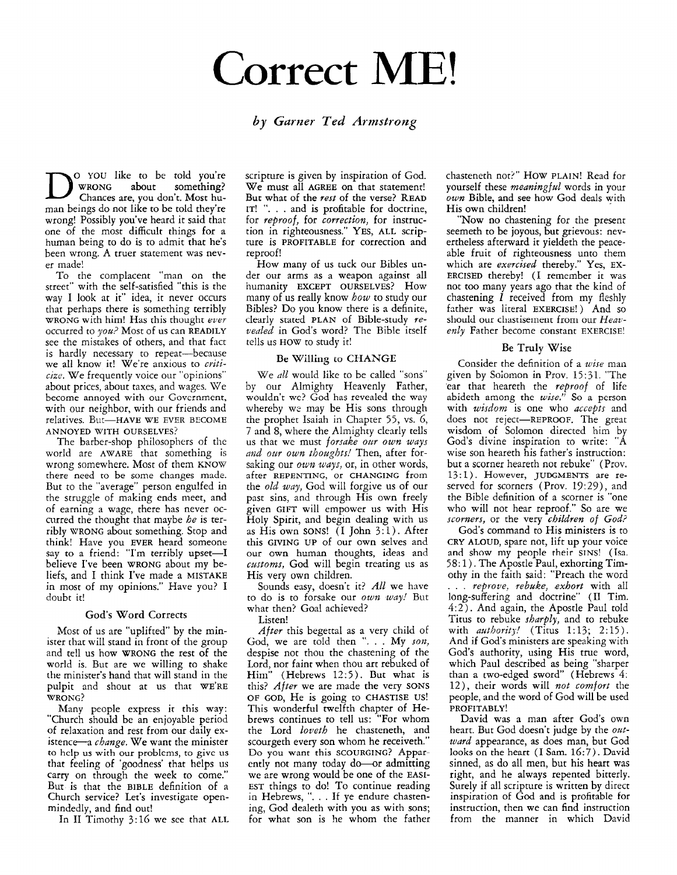### **Correct** ME!

### *by Gurner Ted Armstrong*

o YOU like to be told you're something? Chances **are,** you don't. Most human beings do not like to be told they're wrong! Possibly you've heard it said that one of the most difficult things for **a**  human being to do is to admit that he's been wrong. A truer statement was never made!

To the complacent "man on the street" with the self-satisfied "this is the way I look at it" idea, it never occurs that perhaps there is something terribly WRONG with him! Has this thought *ever*  occurred to *you?* Most of us can READILY see the mistakes of others, and that fact is hardly necessary to repeat-because we all know it! We're anxious to *criticize.* We frequently voice our "opinions" about prices, about taxes, and wages. We become annoyed with our Govcrnmcnt, with our neighbor, with our friends and relatives. But-HAVE WE EVER BECOME ANNOYED WITH OURSELVES?

The barber-shop philosophers of the world are AWARE that something is wrong somewhere. Most of then KNOW there need to be some changes made. But to the "average" person engulfed in the struggle of making ends meet, and of earning a wage, there has never occurred the thought that maybe *he* is terribly WRONG about something. Stop and think! Have you EVER heard someone say to a friend: "I'm terribly upset-I believe I've been WRONG about my beliefs, and I think I've made **a** MISTAKE in most of my opinions." Have you? I doubt it!

### God's Word Corrects

Most of us are "uplifted" by the minister that will stand in front of the group and tell us how WRONG the rest of the world is. But are we willing to shake **clie** minister's hand that will stand in the pulpit and shout at us that WE'RE WRONG?

Many people express it this way: "Church should be an enjoyable period of relaxation and rest from our daily existence-a *change.* We want the minister to hclp us with our problcms, to givc us that feeling of 'goodness' that helps us carry on through the week to come." But is that the BIBLE definition of a Church service? Let's investigate openmindedly, and find out!

In I1 Timothy 3:16 we see that ALL

scripture is given by inspiration of God. We must all AGREE on that statement! But what of the *rest* of the verse? **READ**  IT! ". . . and is profitable for doctrine, for *reproof,* for *correction,* for instruction in righteousness." *YES,* ALL scripture is PROFITABLE for correction and reproof!

How many of us tuck our Bibles under our arms as a weapon against all humanity EXCEPT OURSELVES? How many of us really know *bow* to study our Bibles? Do you know there is a definite, clearly stated PLAN of Bible-study *revealed* in God's word? The Bible itself tells us HOW to study it!

### **Be** Willing **to CHANGE**

We *all* would like to be called "sons" by our Almighty Heavenly Father, wouldn't wc? God has revealed thc **way**  whereby we may be His sons through the prophet Isaiah in Chapter *55,* vs. 6, 7 and 8, where the Almighty clearly tells us that we must *forsake our own ways and our own thoaghts!* Then, after forsaking our *own ways,* or, in other words, after REPENTING, or CHANGING from the *old way,* God will forgive us of our past sins, and through His own freely given GIFT will empower us with His Holy Spirit, and begin dealing with us as His own SONS! (I John *3:* 1 ) . After this GIVING UP of our own selves and our own human thoughts, ideas and *castoms,* God will begin treating us as His very own children.

Sounds easy, doesn't it? *All* we have to do is to forsake our *own way!* But what then? Goal achieved?

Listen!

*After* this begettal as a very child of God, we are told then ". . . My *son*, despise not thou the chastening of the Lord, nor faint when thou art rebuked of Him" (Hebrews 12:5). But what is this? *After* we are made the very SONS OF GOD, He is going to CHASTISE US! This wonderful twelfth chapter of Hebrews continues to tell us: "For whom the Lord *Loveth* he chasteneth, and scourgeth every son whom he receiveth." Do you want this SCOURGING? Apparently not many today do-or admitting we are wrong would be one of the EASI-EST things to do! To continue reading in Hebrews, ". . . If ye endure chastening, God dealeth with you as with sons; for what son is he whom the father

chasteneth not?" HOW PLAIN! Read for yourself these *meaningful* words in your *own* Bible, and see how God deals with His own children!

"Now no chastening for the present seemeth to be joyous, but grievous: nevertheless afterward it yieldeth the peaceable fruit of righteousness unto them which are *exercised* thereby." Yes, EX-ERCISED thereby! (I remember it was not too many years ago that the kind of chastening *1* received from my fleshly father was literal EXERCISE!) And so should our cliastisernerit from our *Heavenly* Father become constant EXERCISE!

### **Be** Truly Wise

Consider the definition of **a** *wise* man given by Soiomon in Prov. 15:31. "The 'ear that heareth the *reproof* of life abideth among the *wise.''* So **a** person with *wisdom* is one who *accepts* and does not reject-REPROOF. The great wisdom of Solomon directed him b God's divine inspiration to write: "A wise son heareth his father's instruction: but a scorner heareth not rebuke" (Prov. 13:l). However, JUDGMENTS are reserved for scorners (Prov. 19:29), and the Bible definition of a scorner is "one who will not hear reproof." So are we *scorners,* or the very *children* of *God?* 

God's command to His ministers is to CRY ALOUD, spare not, lift up your voice and show my people their SINS! (Isa. 58: 1 ) . The Apostle Paul, exhorting Timothy in the faith said: "Preach the word . . , *repyove, rebuke, exhort* with all long-suffering and doctrine" (I1 Tim. *4:2).* And again, the Apostle Paul told Titus to rebuke *sharply,* and to rebuke with *authoritj!* (Titus 1:13; 2:15). And if God's ministers are speaking with God's authority, using His true word, which Paul described as being "sharper than a two-edged sword' (Hebrews *4:*  12), their words will *not comfort* the people, and the word of God will be used PROFITABLY!

David was **a** man after God's own heart. But God doesn't judge by the *oatward* appearance, as does man, but God looks on the heart (I Sam. 16:7). David sinned, as do all men, but his heart was right, and he always repented bitterly. Surely if all scripture is written by direct inspiration of God and is profitable for instruction, then we can find instruction from the manner in which David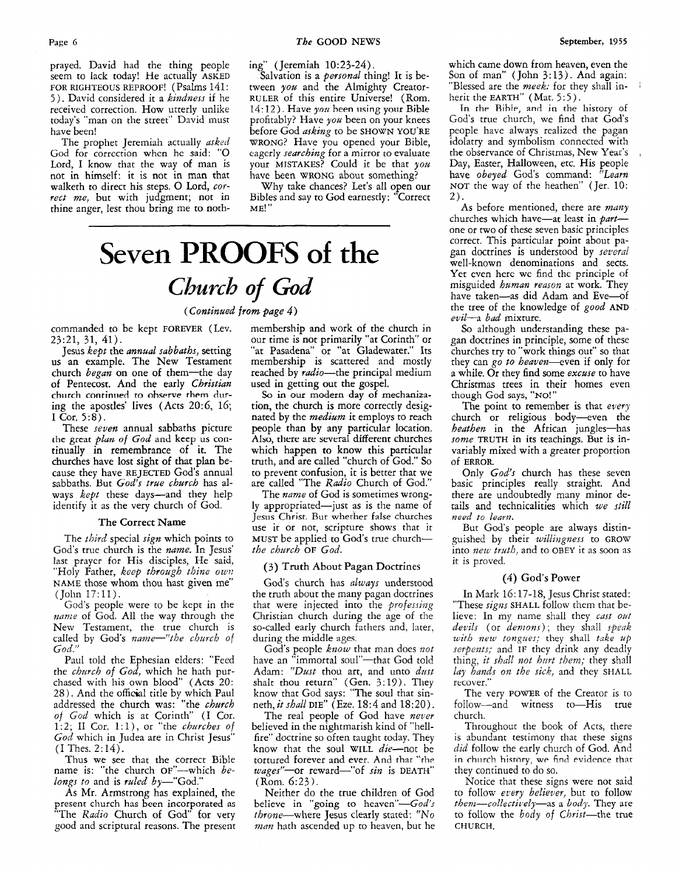prayed. David had the thing people seem to lack today! He actually ASKED FOR RIGHTEOUS REPROOF! (Psalms 141: *<sup>5</sup>*) . David considered it a *kindness* if he received correction. How utterly unlike today's "man on the street" David musr have been!

The prophet Jeremiah actually *asked*  God for corrcction when he said: "0 Lord, I know that the way of man is not in himself: it is not in man that walketh to direct his steps. O Lord, cor*rect me,* but with judgment; not in thine anger, lest thou bring me to nothing" (Jeremiah 10:23-24).

Salvation is a *personal* thing! It is between *you* and the Almighty Creator-RULER of this entire Universe! (Rom. 14:12). Have you been using your Bible profitably? Have *you* been on your knees before God *asking* to be SHOWN YOU'RE WRONG? Have you opened your Bible, cagcrly *searching* for a mirror to evaluate your MISTAKES? Could it be that *you* have been WRONG about something?

Why take chances? Let's all open our Bibles and say to God earnestly: "Correct ME! "

### **Seven PROOFS of the**  *Church of God*

*(Continued from page 4)* 

commanded to be kept FOREVER (Lev. 23:21, 31, 41).

Jesus *kept* the *mnual sabbaths,* setting us an example. The New Testament church *began* on one of them-the day of Pentecost. And the early *Christian*  church continued to observe them during the apostles' lives (Acts 20:6, 16; I Cor. *5:8).* 

These *seven* annual sabbaths picture the great *plm* of *God* and **keep** us continually in remembrance of it. The churches have lost sight of that plan because they have REJECTED God's annual sabbaths. But *God's true church* has always *kept* these days-and they help identify it as the very church of God.

#### The Correct Name

The *third* special *sign* which points to God's true church is the *name.* In Jesus' last praycr for His disciples, He said, "Holy Father, *keep through thine own* NAME those whom thou hast given me" (John 17:ll).

God's people were to be kept in the *name* of God. All the way through the New Testament, the true church is called by God's name-"the church of *God."* 

Paul told the Ephesian elders: "Feed the *church of God,* which he hath purchased with his own blood" (Acts 20: 28). And the official title by which Paul addressed the church was: "the *church 01 God* which is at Corinth' (I Cor. 1:2; I1 Cor. l:l), or "the *churches* of *God* which in Judea are in Christ Jesus" (I Thes. 2: 14).

Thus we see that the correct Bible name is: "the church oF"-which *belongs to and is ruled by*-"God."

As Mr. Armstrong has explained, the present church has been incorporated *as*  "The *Radio* Church of God' for very good and scriptural reasons. The present membership and work of the church in our time is not primarily "at Corinth" or "at Pasadena" or "at Gladewater." Its membership **is** scattered and mostly reached by *radio*—the principal medium used in getting out the gospel.

*So* in **our** modern **day** of mechanization, the church is more correctly designated by the *medium* it employs to reach people than by any particular location. Also, **there are** sevcral different churches which happen to know this particular truth, and are called "church of God." So to prevent confusion, it is better that we are called "The Radio Church of God."

The *name* of God is sometimes wrongly appropriated-just as is the name of Jesus Christ. But whether false churches use it or not, scripture shows that it MUST be applied to God's true church*the church* **OF** *God.* 

### **(3)** Truth **About** Pagan Doctrines

God's church has *always* understood the truth about the many pagan doctrines that were injected into the *professing* Christian church during the age of the so-called early church fathers and. later, during the middle ages

God's people *know* that man does not have an "immortal soul"-that God told Adam: *"Dust* thou art, and unto *dast*  shalt thou return" (Gen. 3.19). They know that God says: "The soul that sinneth, *it shall* **DIE"** (Eze. *18:4* and 18:20).

The real people of God have *never*  believed in the nightmarish kind of "hellfire" doctrine so often taught today. They know that the soul WILL die-not be tortured forever and ever. And that "the wages"-or reward-"of sin is DEATH" (Rom. 6:23).

Neither do the true children of God believe in "going to heaven" $-God's$ throne-where Jesus clearly stated: "No *man* hath ascended up to heaven, but he which came down from heaven, even the Son of man" (John 3:13). And again: "Blessed are the *meek:* for they shall inherit the EARTH" (Mat. 5:5).

**Tn** the Bible, and in the history of God's true church, we find that God's people have always realized the pagan idolatry and symbolism connected with the observance of Christmas, New Year's Day, Easter, Halloween, etc. His people have *obeyed* Gods command: *"Learn*  NOT the way of the heathen" (Jer. 10: 2).

As before mentioned, there are *many*  churches which have-at least in *part*one or two of these seven basic principles correct, This particular point about pagan doctrines is understood by several well-known denominations and sects. Yet even here we find the principle of misguided *human reason* at work. They have taken-as did Adam and Eve-of the tree of the knowledge of *good* **AND**  evil-a bad mixture.

*So* although understanding these pagan doctrines in principle, some of these churches try to "work things out" so that they can go *to heauen-even* if only for a while. Or they find some *excuse* to have Christmas trees in their homes even though God **says, "NO!** "

The point ta remember is that *every*  church or religious body-even the *heathen* in the African jungles—has *some* TRUTH in its teachings. But is invariably mixed with a greater proportion Of ERROR.

Only *God's* church has these seven basic principles really straight. And there are undoubtedly many minor details and technicalities which *we still need to learn.* 

But God's people are always distinguished by their *wilhzgness* to GROW into *new truth*, and to OBEY it as soon as it is proved.

### *(4)* God's Power

In Mark 16: 17-18, Jesus Christ stated: "These *signs* SHALL follow them that believe: In my name shall they *cast out devils* (or *demons);* they shall *spcak zc.itb new tongues;* they shall *tike* **zip**  serpents; and IF they drink any deadly thing, *it shall not hurt them;* they shall *lay hands on the sick,* and they SHALL recover."

The very POWER of the Creator is to follow-and witness to-His true church.

Throughout the book of Acts, there is abundant testimony that these signs *did* follow the early church of God. And in church history, we find evidence that they continued to do so.

Notice that these signs were not said to follow *every believer,* but to follow *tbenz-collectitely-as* **a** body. They are to follow the *body* of *Christ*-the true CHURCH.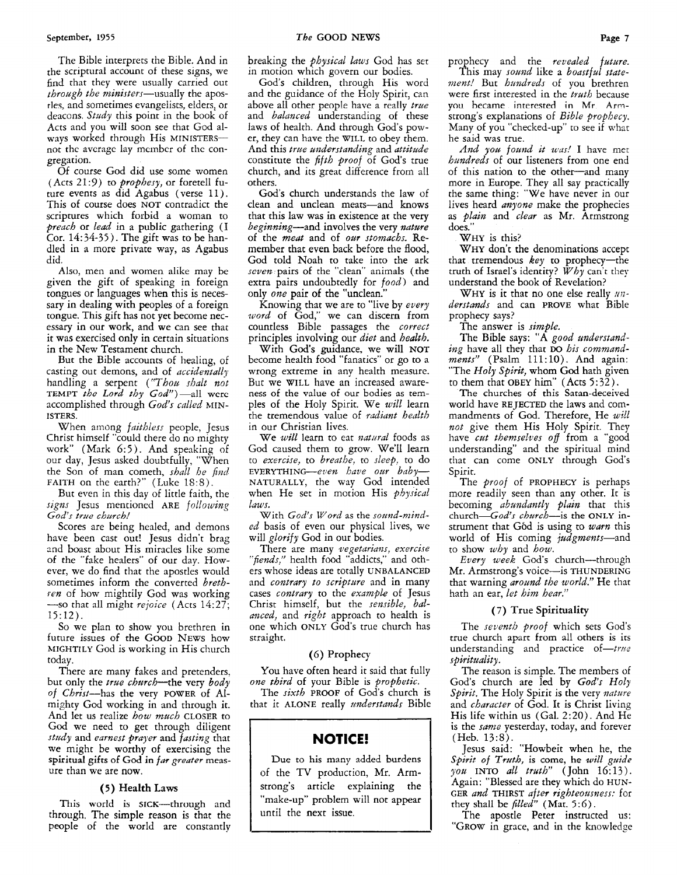The Bible interprets the Bible. And in the scriptural account of these signs, we find that they were usually carried out *through the ministers*—usually the apostles, and sometimes evangelists, elders, or deacons. *Study* this point in the book of Acts and you will soon see that God always worked through His MINISTERSnot thc average lay mcinbcr of thc congregation.

**Of** course God did use some women (Acts 21:9) to *prophesy,* or foretell future events as did Agabus (verse 11). This of course does NOT contradict the scriptures which forbid **a** woman to *preach* or *lead* in **a** public gathering (I Cor. 14: *34-35* ) . The gift was to be handled in **a** more private way, as Agabus did.

Also, men and women alike may be given the gift of speaking in foreign tongues or languages when this is necessary in dealing with peoples of **a** foreign tongue. This gift has not yet become necessary in our work, and we can see that it was exercised only in certain situations in the New Testament church.

But the Bible accounts of healing, of casting out demons, and of *accidentally*  handling **a** serpent *('Thou shalt not*  TEMPT *the Lord thy God"*)-all were accomplished through God's called MIN-ISTERS.

When among *faithless* people, Jesus Christ himself "could there do no mighty work" (Mark *6:5).* And speaking of our day, Jesus asked doubtfully, "When the Son of man cometh, *shall he find*  FAITH on the earth?" (Luke 18:8).

But even in this day of little faith, the *signs* Jesus mentioned ARE *following God's tme* church!

Scores are being healed, and demons have been cast out! Jesus didn't brag and boast about His miracles like some of the "fake healers" of our day. However, we do find that the apostles would sometimes inform the converted *breth ren* of how mightily God was working  $-$ so that all might *rejoice* (Acts 14:27; 15:lZ).

So we plan to show you brethren in future issues of the GOOD NEWS how MIGHTILY God is working in His church today.

There are many fakes and pretenders, but only the *true church*—the very *body of* Christ-has the very POWER of Almighty *God* working in and through it. And let us realize *how much* CLOSER to *God* we need to get through diligent *study* and *earnest prayer* and *fating* that we might be worthy of exercising the spiritual gifts of God in far greater measure than we are now.

### *(5)* Health Laws

This world is SICK-through and through. The simple reason is that the people of the world are constantly

breaking the *physical laws* God has set in motion which govern our bodies.

God's children, through His word and the guidance of the Holy Spirit, can above all other people have a really *true* and *balanced* understanding of these laws of health. And through God's power, they can have the WILL to obey them. And this *true anderstanding* and *attitude*  constitute the *fifth proof* of God's true church, and its great difference from all others.

God's church understands the law of clean and unclean meats-and knows that this law was in existence at the very beginning-and involves the very *nutare*  of the *meat* and of *oar stomachs.* Remember that even back before the flood, God told Noah to rake into the ark *seven* pairs of the "clean" animals (the extra pairs undoubtedly for *food)* and only *ow* pair of the "unclean."

Knowing that we are to "live by *every word* of God," we can discern from countless Bible passages the *correct*  principles involving our *diet* and *health.* 

With God's guidance, we will **NOT**  become health food "fanatics" or go to **a**  wrong extreme in any health measure.<br>But we WILL have an increased awareness of the value of our bodies as temples of the Holy Spirit. We *will* learn the tremendous value of *radiant* health in our Christian lives.

We *will* learn to eat *natural* foods as God caused them to grow. We'll learn to *exercise,* to *breathe,* to *sleep.* to do EVERYTHING-even have our baby-NATURALLY, the way God intended when He set in motion His *physical laws.* 

With *God's Word* as the *somid-minded* basis of even our physical lives, we will *glorify* God in our bodies.

There are many *ztegetarians, exercire "fiends,"* health food "addicts," and others whose ideas are totally UNBALANCED and *contrary to scriptwe* and in many cases *contrary* to the *exam9Lc* of Jesus Christ himself, but the *sensible*, bal*anced,* and *right* approach to health is one which ONLY God's true church has straight.

### *(6)* Prophecy

You have often heard it said that fully *one third* of your Bible **is** *prophetic.* 

The *sixth* PROOF of God's church is that it ALONE really *iinderstands* Bible

### **NOTICE!**

Due to his many added burdens of the TV production, Mr. **Arm**strong's article explaining the "make-up" problem will not appear until the next issue.

prophecy and the *revealed future.* 

This may *sound* like **a** *boastfal statement!* But *hundreds* of you brethren were first interested in the *tiuth* because you became interested **in** Mr **Arm**strong's explanations of *Bible prophecy.*  Many of you "checked-up" to see if what he said was true.

*And you found it was!* I have met *hundreds* of our listeners from one end of this nation to the other-and many more in Europe. They all say practically the same thing: "We have never in our lives heard *anyone* make the prophecies as *pluin* and *clear* **as** Mr. Armstrong does."

WHY is this?

WHY don't the denominations accept that tremendous *key* to prophecy-the truth of Israel's identity? *Why* can't they understand the book of Revelation?

WHY is it that no one else really *understands* and can **PROVE** what Bible prophecy says?

The answer is *simple.* 

The Bible says: "A *good understanding* have all they that **DO** his *commandments"* (Psalm 111:10). And again: "The *Holy Spirit,* whom God hath given

to them that OBEY him"  $(Acts 5:32)$ .<br>The churches of this Satan-deceived world have REJECTED the laws and commandments of God. Therefore, He *will not* give them His Holy Spirit. They have *cut themselves off* from **a** "good understanding" and the spiritual mind that can come ONLY through God's Spirit.

The *proof* of PROPHECY is perhaps more readily seen than any other. It is becoming *abundantly plain* that this church-God's church-is the **ONLY** instrument that G6d is using to *wam* this world of His coming *jadgments-and*  to show *why* and *how.* 

*Every week* God's church-through Mr. Armstrong's voice-is THUNDERING that warning *around the world."* He that hath an ear, *let him hear.''* 

### *(7)* True Spirituality

The seventh *proof* which sets God's true church apart from all others is its understanding and practice of-true *spirituality.* 

The reason is simple. The members of God's church are led by God's Holy Spirit. The Holy Spirit is the very nature and *character* of *God.* It is Christ living His life within us (Gal. 2:20). And He is the *same* yesterday, today, and forever  $(Heb. 13:8).$ 

Jesus said: "Howbeit when he, the *Spirit of Truth,* is come, he *will guide you* INTO *ail truth"* (John 16:13). Again: "Blessed are they which do HUN-GER *and* THIRST *after righteousness:* for they shall be *filled"* (Mat. *5: 6).* 

The apostle Peter instructed us: "GROW in grace, and in the knowledge